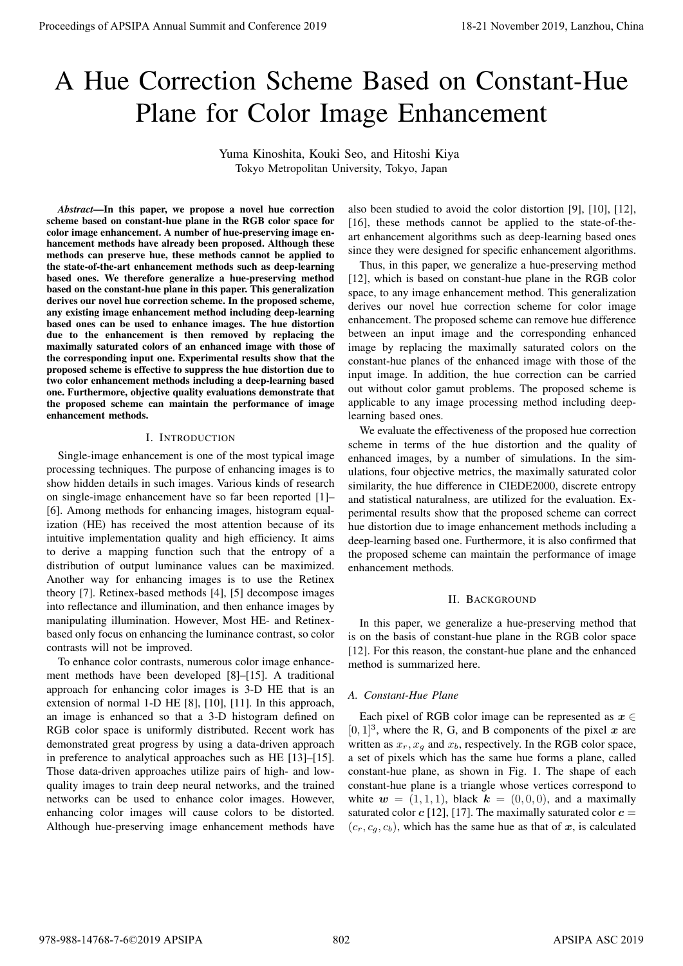# A Hue Correction Scheme Based on Constant-Hue Plane for Color Image Enhancement

Yuma Kinoshita, Kouki Seo, and Hitoshi Kiya Tokyo Metropolitan University, Tokyo, Japan

*Abstract***—In this paper, we propose a novel hue correction scheme based on constant-hue plane in the RGB color space for color image enhancement. A number of hue-preserving image enhancement methods have already been proposed. Although these methods can preserve hue, these methods cannot be applied to the state-of-the-art enhancement methods such as deep-learning based ones. We therefore generalize a hue-preserving method based on the constant-hue plane in this paper. This generalization derives our novel hue correction scheme. In the proposed scheme, any existing image enhancement method including deep-learning based ones can be used to enhance images. The hue distortion due to the enhancement is then removed by replacing the maximally saturated colors of an enhanced image with those of the corresponding input one. Experimental results show that the proposed scheme is effective to suppress the hue distortion due to two color enhancement methods including a deep-learning based one. Furthermore, objective quality evaluations demonstrate that the proposed scheme can maintain the performance of image enhancement methods.** Proceedings of APSIPA Annual Summit and Conference 2019 18-21 November 2019, Lanzhou, China 978-988-14768-7-6©2019 APSIPA 802 APSIPA ASC 2019

#### I. INTRODUCTION

Single-image enhancement is one of the most typical image processing techniques. The purpose of enhancing images is to show hidden details in such images. Various kinds of research on single-image enhancement have so far been reported [1]– [6]. Among methods for enhancing images, histogram equalization (HE) has received the most attention because of its intuitive implementation quality and high efficiency. It aims to derive a mapping function such that the entropy of a distribution of output luminance values can be maximized. Another way for enhancing images is to use the Retinex theory [7]. Retinex-based methods [4], [5] decompose images into reflectance and illumination, and then enhance images by manipulating illumination. However, Most HE- and Retinexbased only focus on enhancing the luminance contrast, so color contrasts will not be improved.

To enhance color contrasts, numerous color image enhancement methods have been developed [8]–[15]. A traditional approach for enhancing color images is 3-D HE that is an extension of normal 1-D HE [8], [10], [11]. In this approach, an image is enhanced so that a 3-D histogram defined on RGB color space is uniformly distributed. Recent work has demonstrated great progress by using a data-driven approach in preference to analytical approaches such as HE [13]–[15]. Those data-driven approaches utilize pairs of high- and lowquality images to train deep neural networks, and the trained networks can be used to enhance color images. However, enhancing color images will cause colors to be distorted. Although hue-preserving image enhancement methods have

also been studied to avoid the color distortion [9], [10], [12], [16], these methods cannot be applied to the state-of-theart enhancement algorithms such as deep-learning based ones since they were designed for specific enhancement algorithms.

Thus, in this paper, we generalize a hue-preserving method [12], which is based on constant-hue plane in the RGB color space, to any image enhancement method. This generalization derives our novel hue correction scheme for color image enhancement. The proposed scheme can remove hue difference between an input image and the corresponding enhanced image by replacing the maximally saturated colors on the constant-hue planes of the enhanced image with those of the input image. In addition, the hue correction can be carried out without color gamut problems. The proposed scheme is applicable to any image processing method including deeplearning based ones.

We evaluate the effectiveness of the proposed hue correction scheme in terms of the hue distortion and the quality of enhanced images, by a number of simulations. In the simulations, four objective metrics, the maximally saturated color similarity, the hue difference in CIEDE2000, discrete entropy and statistical naturalness, are utilized for the evaluation. Experimental results show that the proposed scheme can correct hue distortion due to image enhancement methods including a deep-learning based one. Furthermore, it is also confirmed that the proposed scheme can maintain the performance of image enhancement methods.

#### II. BACKGROUND

In this paper, we generalize a hue-preserving method that is on the basis of constant-hue plane in the RGB color space [12]. For this reason, the constant-hue plane and the enhanced method is summarized here.

#### *A. Constant-Hue Plane*

Each pixel of RGB color image can be represented as  $x \in$  $[0, 1]^3$ , where the R, G, and B components of the pixel x are written as  $x_r$ ,  $x_q$  and  $x_b$ , respectively. In the RGB color space, a set of pixels which has the same hue forms a plane, called constant-hue plane, as shown in Fig. 1. The shape of each constant-hue plane is a triangle whose vertices correspond to white  $w = (1, 1, 1)$ , black  $k = (0, 0, 0)$ , and a maximally saturated color  $c$  [12], [17]. The maximally saturated color  $c =$  $(c_r, c_a, c_b)$ , which has the same hue as that of x, is calculated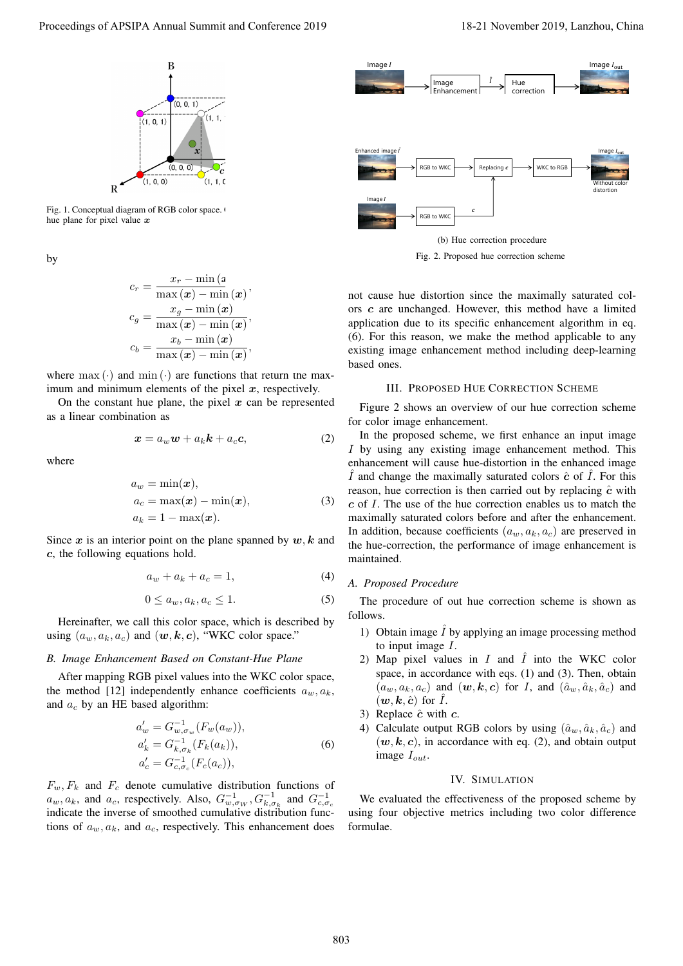

Fig. 1. Conceptual diagram of RGB color space. hue plane for pixel value *x*

by

$$
\begin{aligned} c_r &= \frac{x_r - \min\left(a}{\max\left(\boldsymbol{x}\right) - \min\left(\boldsymbol{x}\right)}, \\ c_g &= \frac{x_g - \min\left(\boldsymbol{x}\right)}{\max\left(\boldsymbol{x}\right) - \min\left(\boldsymbol{x}\right)}, \\ c_b &= \frac{x_b - \min\left(\boldsymbol{x}\right)}{\max\left(\boldsymbol{x}\right) - \min\left(\boldsymbol{x}\right)}, \end{aligned}
$$

where  $\max(\cdot)$  and  $\min(\cdot)$  are functions that return the maximum and minimum elements of the pixel *x*, respectively.

On the constant hue plane, the pixel  $x$  can be represented as a linear combination as

$$
x = a_w w + a_k k + a_c c,
$$
 (2)

where

$$
a_w = \min(\boldsymbol{x}),
$$
  
\n
$$
a_c = \max(\boldsymbol{x}) - \min(\boldsymbol{x}),
$$
  
\n
$$
a_k = 1 - \max(\boldsymbol{x}).
$$
\n(3)

Since  $x$  is an interior point on the plane spanned by  $w, k$  and *c*, the following equations hold.

$$
a_w + a_k + a_c = 1,\t\t(4)
$$

$$
0 \le a_w, a_k, a_c \le 1. \tag{5}
$$

Hereinafter, we call this color space, which is described by using  $(a_w, a_k, a_c)$  and  $(w, k, c)$ , "WKC color space."

## *B. Image Enhancement Based on Constant-Hue Plane*

After mapping RGB pixel values into the WKC color space, the method [12] independently enhance coefficients  $a_w, a_k$ , and *a<sup>c</sup>* by an HE based algorithm:

$$
a'_w = G_{w,\sigma_w}^{-1}(F_w(a_w)),
$$
  
\n
$$
a'_k = G_{k,\sigma_k}^{-1}(F_k(a_k)),
$$
  
\n
$$
a'_c = G_{c,\sigma_c}^{-1}(F_c(a_c)),
$$
\n(6)

 $F_w, F_k$  and  $F_c$  denote cumulative distribution functions of  $a_w, a_k$ , and  $a_c$ , respectively. Also,  $G_{w, \sigma_W}^{-1}, G_{k, \sigma_k}^{-1}$  and  $G_{c, \sigma_c}^{-1}$ indicate the inverse of smoothed cumulative distribution functions of  $a_w, a_k$ , and  $a_c$ , respectively. This enhancement does



Fig. 2. Proposed hue correction scheme

not cause hue distortion since the maximally saturated colors *c* are unchanged. However, this method have a limited application due to its specific enhancement algorithm in eq. (6). For this reason, we make the method applicable to any existing image enhancement method including deep-learning based ones.

#### III. PROPOSED HUE CORRECTION SCHEME

Figure 2 shows an overview of our hue correction scheme for color image enhancement.

In the proposed scheme, we first enhance an input image *I* by using any existing image enhancement method. This enhancement will cause hue-distortion in the enhanced image  $\hat{I}$  and change the maximally saturated colors  $\hat{c}$  of  $\hat{I}$ . For this reason, hue correction is then carried out by replacing  $\hat{c}$  with *c* of *I*. The use of the hue correction enables us to match the maximally saturated colors before and after the enhancement. In addition, because coefficients  $(a_w, a_k, a_c)$  are preserved in the hue-correction, the performance of image enhancement is maintained.

## *A. Proposed Procedure*

The procedure of out hue correction scheme is shown as follows.

- 1) Obtain image  $\hat{I}$  by applying an image processing method to input image *I*.
- 2) Map pixel values in  $I$  and  $\hat{I}$  into the WKC color space, in accordance with eqs. (1) and (3). Then, obtain  $(a_w, a_k, a_c)$  and  $(\boldsymbol{w}, \boldsymbol{k}, \boldsymbol{c})$  for *I*, and  $(\hat{a}_w, \hat{a}_k, \hat{a}_c)$  and  $(w, k, \hat{c})$  for  $\hat{I}$ .
- 3) Replace *c*ˆ with *c*.
- 4) Calculate output RGB colors by using  $(\hat{a}_w, \hat{a}_k, \hat{a}_c)$  and  $(w, k, c)$ , in accordance with eq. (2), and obtain output image *Iout*.

## IV. SIMULATION

We evaluated the effectiveness of the proposed scheme by using four objective metrics including two color difference formulae.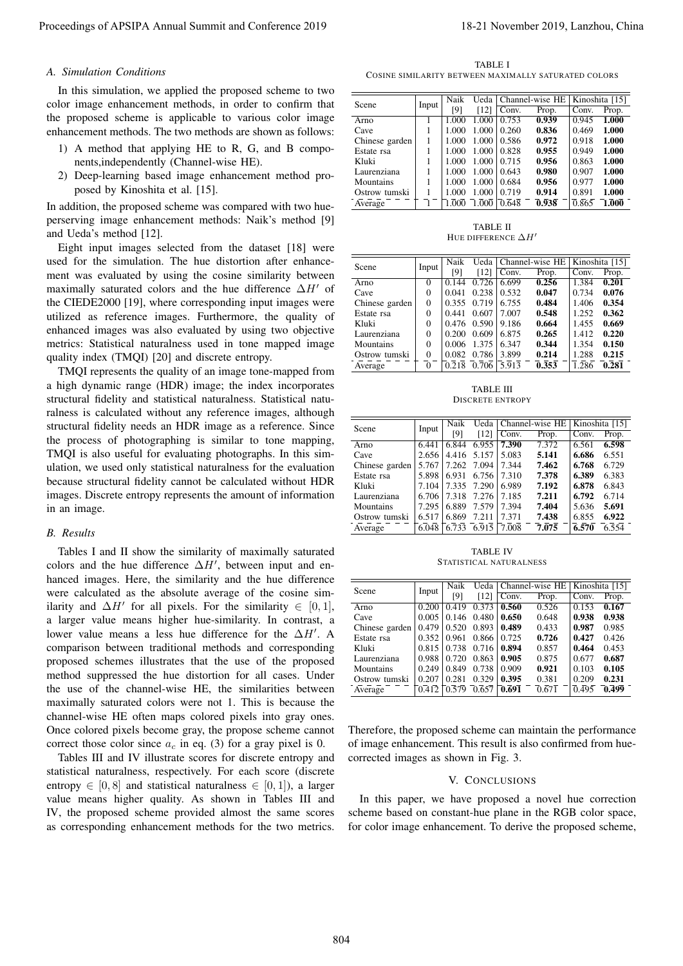# *A. Simulation Conditions*

In this simulation, we applied the proposed scheme to two color image enhancement methods, in order to confirm that the proposed scheme is applicable to various color image enhancement methods. The two methods are shown as follows:

- 1) A method that applying HE to R, G, and B components,independently (Channel-wise HE).
- 2) Deep-learning based image enhancement method proposed by Kinoshita et al. [15].

In addition, the proposed scheme was compared with two hueperserving image enhancement methods: Naik's method [9] and Ueda's method [12].

Eight input images selected from the dataset [18] were used for the simulation. The hue distortion after enhancement was evaluated by using the cosine similarity between maximally saturated colors and the hue difference ∆*H′* of the CIEDE2000 [19], where corresponding input images were utilized as reference images. Furthermore, the quality of enhanced images was also evaluated by using two objective metrics: Statistical naturalness used in tone mapped image quality index (TMQI) [20] and discrete entropy.

TMQI represents the quality of an image tone-mapped from a high dynamic range (HDR) image; the index incorporates structural fidelity and statistical naturalness. Statistical naturalness is calculated without any reference images, although structural fidelity needs an HDR image as a reference. Since the process of photographing is similar to tone mapping, TMQI is also useful for evaluating photographs. In this simulation, we used only statistical naturalness for the evaluation because structural fidelity cannot be calculated without HDR images. Discrete entropy represents the amount of information in an image.

## *B. Results*

Tables I and II show the similarity of maximally saturated colors and the hue difference ∆*H′* , between input and enhanced images. Here, the similarity and the hue difference were calculated as the absolute average of the cosine similarity and  $\Delta H'$  for all pixels. For the similarity  $\in [0, 1]$ , a larger value means higher hue-similarity. In contrast, a lower value means a less hue difference for the ∆*H′* . A comparison between traditional methods and corresponding proposed schemes illustrates that the use of the proposed method suppressed the hue distortion for all cases. Under the use of the channel-wise HE, the similarities between maximally saturated colors were not 1. This is because the channel-wise HE often maps colored pixels into gray ones. Once colored pixels become gray, the propose scheme cannot correct those color since  $a_c$  in eq. (3) for a gray pixel is 0. Proceedings of APSIPA Annual Summit at China 804 1913<br>
A Bookh distributed in the conference 2019 of APSIPA Annual Summit and Conference 2019 of APSIPA Annual Summit and Conference 2019 of APSIPA Annual Summit and Confere

Tables III and IV illustrate scores for discrete entropy and statistical naturalness, respectively. For each score (discrete entropy  $\in [0, 8]$  and statistical naturalness  $\in [0, 1]$ ), a larger value means higher quality. As shown in Tables III and IV, the proposed scheme provided almost the same scores as corresponding enhancement methods for the two metrics.

TABLE I COSINE SIMILARITY BETWEEN MAXIMALLY SATURATED COLORS

| Scene          | Input | Naik  |       | Ueda   Channel-wise HE |       | Kinoshita [15]     |       |
|----------------|-------|-------|-------|------------------------|-------|--------------------|-------|
|                |       | [9]   | [12]  | Conv.                  | Prop. | Conv.              | Prop. |
| Arno           |       | 1.000 | 1.000 | 0.753                  | 0.939 | $\overline{0.945}$ | 1.000 |
| Cave           |       | 1.000 | 1.000 | 0.260                  | 0.836 | 0.469              | 1.000 |
| Chinese garden |       | 1.000 | 1.000 | 0.586                  | 0.972 | 0.918              | 1.000 |
| Estate rsa     |       | 1.000 | 1.000 | 0.828                  | 0.955 | 0.949              | 1.000 |
| Kluki          |       | 1.000 | 1.000 | 0.715                  | 0.956 | 0.863              | 1.000 |
| Laurenziana    |       | 1.000 | 1.000 | 0.643                  | 0.980 | 0.907              | 1.000 |
| Mountains      |       | 1.000 | 1.000 | 0.684                  | 0.956 | 0.977              | 1.000 |
| Ostrow tumski  |       | 1.000 | 1.000 | 0.719                  | 0.914 | 0.891              | 1.000 |
| Average        |       | 1.000 | 1.000 | 0.648                  | 0.938 | 0.865              | 1.000 |

TABLE II HUE DIFFERENCE ∆*H′*

| Scene          | Input    | Naik  |       | Ueda   Channel-wise HE |                    | Kinoshita [15] |       |
|----------------|----------|-------|-------|------------------------|--------------------|----------------|-------|
|                |          | [9]   | [12]  | Conv.                  | Prop.              | Conv.          | Prop. |
| Arno           | $\Omega$ | 0.144 | 0.726 | 6.699                  | 0.256              | 1.384          | 0.201 |
| Cave           | $\Omega$ | 0.041 | 0.238 | 0.532                  | 0.047              | 0.734          | 0.076 |
| Chinese garden | $\Omega$ | 0.355 | 0.719 | 6.755                  | 0.484              | 1.406          | 0.354 |
| Estate rsa     | $\Omega$ | 0.441 | 0.607 | 7.007                  | 0.548              | 1.252          | 0.362 |
| Kluki          | $\Omega$ | 0.476 | 0.590 | 9.186                  | 0.664              | 1.455          | 0.669 |
| Laurenziana    | $\Omega$ | 0.200 | 0.609 | 6.875                  | 0.265              | 1.412          | 0.220 |
| Mountains      | $\Omega$ | 0.006 | 1.375 | 6.347                  | 0.344              | 1.354          | 0.150 |
| Ostrow tumski  | $\theta$ | 0.082 | 0.786 | 3.899                  | 0.214              | 1.288          | 0.215 |
| Average        |          | 0.218 | 0.706 | 5.913                  | $\overline{0.353}$ | 1.286          | 0.281 |

TABLE III DISCRETE ENTROPY

| Scene          | Input | Naik  |             | Ueda   Channel-wise HE |       | Kinoshita [15] |       |
|----------------|-------|-------|-------------|------------------------|-------|----------------|-------|
|                |       | [9]   | [12]        | Conv.                  | Prop. | Conv.          | Prop. |
| Arno           | 6.441 | 6.844 | 6.955       | 7.390                  | 7.372 | 6.561          | 6.598 |
| Cave           | 2.656 | 4.416 | 5.157       | 5.083                  | 5.141 | 6.686          | 6.551 |
| Chinese garden | 5.767 |       | 7.262 7.094 | 7.344                  | 7.462 | 6.768          | 6.729 |
| Estate rsa     | 5.898 | 6.931 | 6.756       | 7.310                  | 7.378 | 6.389          | 6.383 |
| Kluki          | 7.104 | 7.335 | 7.290       | 6.989                  | 7.192 | 6.878          | 6.843 |
| Laurenziana    | 6.706 | 7.318 | 7.276       | 7.185                  | 7.211 | 6.792          | 6.714 |
| Mountains      | 7.295 | 6.889 | 7.579       | 7.394                  | 7.404 | 5.636          | 5.691 |
| Ostrow tumski  | 6.517 | 6.869 | 7.211       | 7.371                  | 7.438 | 6.855          | 6.922 |
| Average        | 6.048 |       | 6.733 6.915 | 7.008                  | 7.075 | 6.570          | 6.554 |

TABLE IV STATISTICAL NATURALNESS

| Scene          | Input | Naik  | Ueda  | Channel-wise HE |       | Kinoshita [15] |       |
|----------------|-------|-------|-------|-----------------|-------|----------------|-------|
|                |       | [9]   | [12]  | Conv.           | Prop. | Conv.          | Prop. |
| Arno           | 0.200 | 0.419 | 0.373 | 0.560           | 0.526 | 0.153          | 0.167 |
| Cave           | 0.005 | 0.146 | 0.480 | 0.650           | 0.648 | 0.938          | 0.938 |
| Chinese garden | 0.479 | 0.520 | 0.893 | 0.489           | 0.433 | 0.987          | 0.985 |
| Estate rsa     | 0.352 | 0.961 | 0.866 | 0.725           | 0.726 | 0.427          | 0.426 |
| Kluki          | 0.815 | 0.738 | 0.716 | 0.894           | 0.857 | 0.464          | 0.453 |
| Laurenziana    | 0.988 | 0.720 | 0.863 | 0.905           | 0.875 | 0.677          | 0.687 |
| Mountains      | 0.249 | 0.849 | 0.738 | 0.909           | 0.921 | 0.103          | 0.105 |
| Ostrow tumski  | 0.207 | 0.281 | 0.329 | 0.395           | 0.381 | 0.209          | 0.231 |
| Average        | 0.412 | 0.579 | 0.657 | 0.691           | 0.671 | 0.495          | 0.499 |

Therefore, the proposed scheme can maintain the performance of image enhancement. This result is also confirmed from huecorrected images as shown in Fig. 3.

#### V. CONCLUSIONS

In this paper, we have proposed a novel hue correction scheme based on constant-hue plane in the RGB color space, for color image enhancement. To derive the proposed scheme,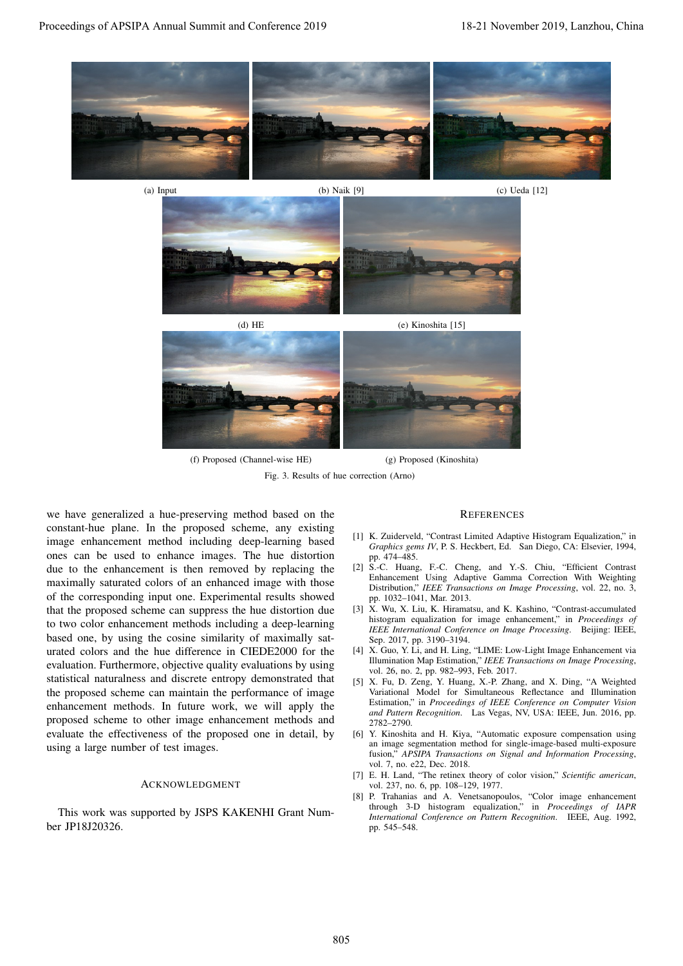







(f) Proposed (Channel-wise HE) (g) Proposed (Kinoshita)

Fig. 3. Results of hue correction (Arno)

we have generalized a hue-preserving method based on the constant-hue plane. In the proposed scheme, any existing image enhancement method including deep-learning based ones can be used to enhance images. The hue distortion due to the enhancement is then removed by replacing the maximally saturated colors of an enhanced image with those of the corresponding input one. Experimental results showed that the proposed scheme can suppress the hue distortion due to two color enhancement methods including a deep-learning based one, by using the cosine similarity of maximally saturated colors and the hue difference in CIEDE2000 for the evaluation. Furthermore, objective quality evaluations by using statistical naturalness and discrete entropy demonstrated that the proposed scheme can maintain the performance of image enhancement methods. In future work, we will apply the proposed scheme to other image enhancement methods and evaluate the effectiveness of the proposed one in detail, by using a large number of test images. **Proceedings of APSIPA annual Summit and Conference 2019, Lanzhou, China 805 18-21 November 2019, Lanzhou, China 805 18-21 November 2019, Lanzhou, China 805 18-21 November 2019, Lanzhou, China 805 18-21 November 2019, Lan** 

# ACKNOWLEDGMENT

This work was supported by JSPS KAKENHI Grant Number JP18J20326.

#### **REFERENCES**

- [1] K. Zuiderveld, "Contrast Limited Adaptive Histogram Equalization," in *Graphics gems IV*, P. S. Heckbert, Ed. San Diego, CA: Elsevier, 1994, pp. 474–485.
- [2] S.-C. Huang, F.-C. Cheng, and Y.-S. Chiu, "Efficient Contrast" Enhancement Using Adaptive Gamma Correction With Weighting Distribution," *IEEE Transactions on Image Processing*, vol. 22, no. 3, pp. 1032–1041, Mar. 2013.
- [3] X. Wu, X. Liu, K. Hiramatsu, and K. Kashino, "Contrast-accumulated histogram equalization for image enhancement," in *Proceedings of IEEE International Conference on Image Processing*. Beijing: IEEE, Sep. 2017, pp. 3190–3194.
- [4] X. Guo, Y. Li, and H. Ling, "LIME: Low-Light Image Enhancement via Illumination Map Estimation," *IEEE Transactions on Image Processing*, vol. 26, no. 2, pp. 982–993, Feb. 2017.
- [5] X. Fu, D. Zeng, Y. Huang, X.-P. Zhang, and X. Ding, "A Weighted Variational Model for Simultaneous Reflectance and Illumination Estimation," in *Proceedings of IEEE Conference on Computer Vision and Pattern Recognition*. Las Vegas, NV, USA: IEEE, Jun. 2016, pp. 2782–2790.
- [6] Y. Kinoshita and H. Kiya, "Automatic exposure compensation using an image segmentation method for single-image-based multi-exposure fusion," *APSIPA Transactions on Signal and Information Processing*, vol. 7, no. e22, Dec. 2018.
- [7] E. H. Land, "The retinex theory of color vision," *Scientific american*, vol. 237, no. 6, pp. 108–129, 1977.
- [8] P. Trahanias and A. Venetsanopoulos, "Color image enhancement through 3-D histogram equalization," in *Proceedings of IAPR International Conference on Pattern Recognition*. IEEE, Aug. 1992, pp. 545–548.